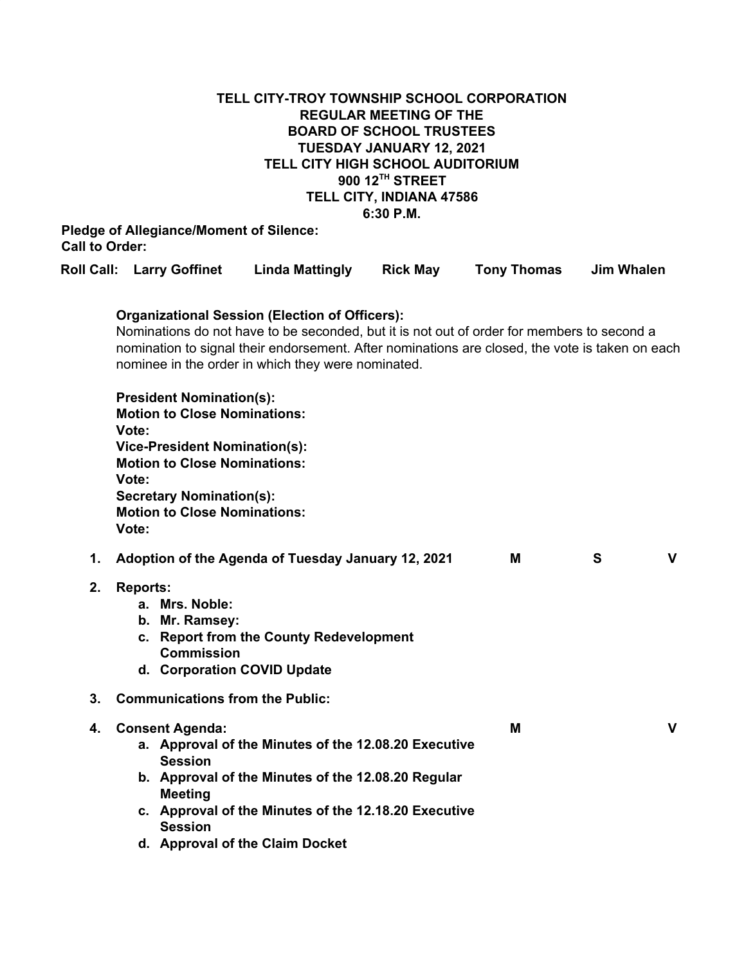# **TELL CITY-TROY TOWNSHIP SCHOOL CORPORATION REGULAR MEETING OF THE BOARD OF SCHOOL TRUSTEES TUESDAY JANUARY 12, 2021 TELL CITY HIGH SCHOOL AUDITORIUM 900 12 TH STREET TELL CITY, INDIANA 47586 6:30 P.M.**

## **Pledge of Allegiance/Moment of Silence: Call to Order:**

|    |                                                                                                                                                                                                                                                                                                              | <b>Roll Call: Larry Goffinet</b>                                                                                                                                                                                                | <b>Linda Mattingly</b>                                                                                                                                                                                | <b>Rick May</b> | <b>Tony Thomas</b> | <b>Jim Whalen</b> |              |  |  |
|----|--------------------------------------------------------------------------------------------------------------------------------------------------------------------------------------------------------------------------------------------------------------------------------------------------------------|---------------------------------------------------------------------------------------------------------------------------------------------------------------------------------------------------------------------------------|-------------------------------------------------------------------------------------------------------------------------------------------------------------------------------------------------------|-----------------|--------------------|-------------------|--------------|--|--|
|    | <b>Organizational Session (Election of Officers):</b><br>Nominations do not have to be seconded, but it is not out of order for members to second a<br>nomination to signal their endorsement. After nominations are closed, the vote is taken on each<br>nominee in the order in which they were nominated. |                                                                                                                                                                                                                                 |                                                                                                                                                                                                       |                 |                    |                   |              |  |  |
|    | Vote:<br>Vote:<br>Vote:                                                                                                                                                                                                                                                                                      | <b>President Nomination(s):</b><br><b>Motion to Close Nominations:</b><br><b>Vice-President Nomination(s):</b><br><b>Motion to Close Nominations:</b><br><b>Secretary Nomination(s):</b><br><b>Motion to Close Nominations:</b> |                                                                                                                                                                                                       |                 |                    |                   |              |  |  |
| 1. |                                                                                                                                                                                                                                                                                                              |                                                                                                                                                                                                                                 | Adoption of the Agenda of Tuesday January 12, 2021                                                                                                                                                    |                 | М                  | S                 | $\mathbf{V}$ |  |  |
| 2. | <b>Reports:</b>                                                                                                                                                                                                                                                                                              | a. Mrs. Noble:<br>b. Mr. Ramsey:<br><b>Commission</b>                                                                                                                                                                           | c. Report from the County Redevelopment<br>d. Corporation COVID Update                                                                                                                                |                 |                    |                   |              |  |  |
| 3. |                                                                                                                                                                                                                                                                                                              | <b>Communications from the Public:</b>                                                                                                                                                                                          |                                                                                                                                                                                                       |                 |                    |                   |              |  |  |
| 4. |                                                                                                                                                                                                                                                                                                              | <b>Consent Agenda:</b><br><b>Session</b><br><b>Meeting</b><br><b>Session</b>                                                                                                                                                    | a. Approval of the Minutes of the 12.08.20 Executive<br>b. Approval of the Minutes of the 12.08.20 Regular<br>c. Approval of the Minutes of the 12.18.20 Executive<br>d. Approval of the Claim Docket |                 | M                  |                   | $\mathbf{V}$ |  |  |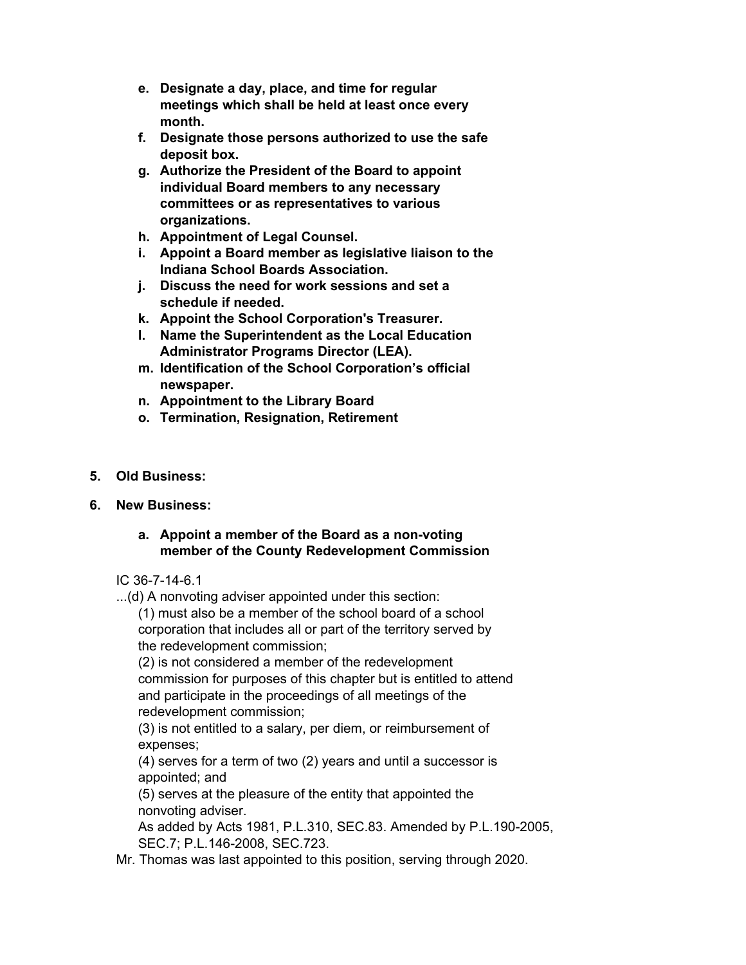- **e. Designate a day, place, and time for regular meetings which shall be held at least once every month.**
- **f. Designate those persons authorized to use the safe deposit box.**
- **g. Authorize the President of the Board to appoint individual Board members to any necessary committees or as representatives to various organizations.**
- **h. Appointment of Legal Counsel.**
- **i. Appoint a Board member as legislative liaison to the Indiana School Boards Association.**
- **j. Discuss the need for work sessions and set a schedule if needed.**
- **k. Appoint the School Corporation's Treasurer.**
- **l. Name the Superintendent as the Local Education Administrator Programs Director (LEA).**
- **m. Identification of the School Corporation's official newspaper.**
- **n. Appointment to the Library Board**
- **o. Termination, Resignation, Retirement**
- **5. Old Business:**
- **6. New Business:**

### **a. Appoint a member of the Board as a non-voting member of the County Redevelopment Commission**

IC 36-7-14-6.1

...(d) A nonvoting adviser appointed under this section:

(1) must also be a member of the school board of a school corporation that includes all or part of the territory served by the redevelopment commission;

(2) is not considered a member of the redevelopment commission for purposes of this chapter but is entitled to attend and participate in the proceedings of all meetings of the redevelopment commission;

(3) is not entitled to a salary, per diem, or reimbursement of expenses;

(4) serves for a term of two (2) years and until a successor is appointed; and

(5) serves at the pleasure of the entity that appointed the nonvoting adviser.

As added by Acts 1981, P.L.310, SEC.83. Amended by P.L.190-2005, SEC.7; P.L.146-2008, SEC.723.

Mr. Thomas was last appointed to this position, serving through 2020.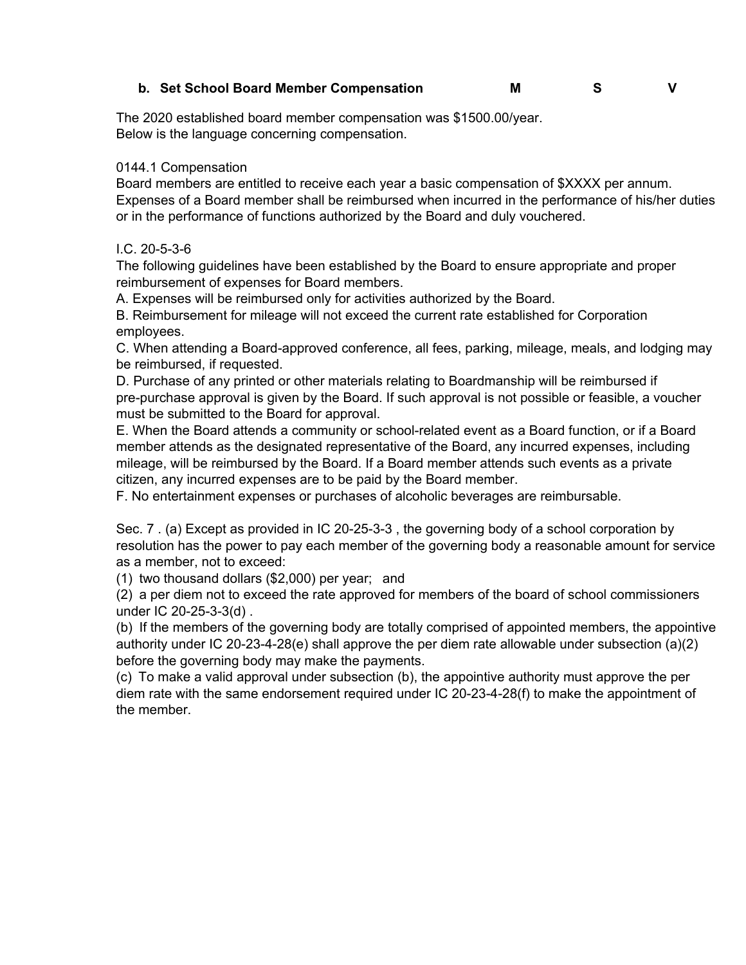### **b. Set School Board Member Compensation M S V**

The 2020 established board member compensation was \$1500.00/year. Below is the language concerning compensation.

#### 0144.1 Compensation

Board members are entitled to receive each year a basic compensation of \$XXXX per annum. Expenses of a Board member shall be reimbursed when incurred in the performance of his/her duties or in the performance of functions authorized by the Board and duly vouchered.

#### I.C. 20-5-3-6

The following guidelines have been established by the Board to ensure appropriate and proper reimbursement of expenses for Board members.

A. Expenses will be reimbursed only for activities authorized by the Board.

B. Reimbursement for mileage will not exceed the current rate established for Corporation employees.

C. When attending a Board-approved conference, all fees, parking, mileage, meals, and lodging may be reimbursed, if requested.

D. Purchase of any printed or other materials relating to Boardmanship will be reimbursed if pre-purchase approval is given by the Board. If such approval is not possible or feasible, a voucher must be submitted to the Board for approval.

E. When the Board attends a community or school-related event as a Board function, or if a Board member attends as the designated representative of the Board, any incurred expenses, including mileage, will be reimbursed by the Board. If a Board member attends such events as a private citizen, any incurred expenses are to be paid by the Board member.

F. No entertainment expenses or purchases of alcoholic beverages are reimbursable.

Sec. 7 . (a) Except as provided in IC 20-25-3-3 , the governing body of a school corporation by resolution has the power to pay each member of the governing body a reasonable amount for service as a member, not to exceed:

(1) two thousand dollars (\$2,000) per year; and

(2) a per diem not to exceed the rate approved for members of the board of school commissioners under IC 20-25-3-3(d) .

(b) If the members of the governing body are totally comprised of appointed members, the appointive authority under IC 20-23-4-28(e) shall approve the per diem rate allowable under subsection (a)(2) before the governing body may make the payments.

(c) To make a valid approval under subsection (b), the appointive authority must approve the per diem rate with the same endorsement required under IC 20-23-4-28(f) to make the appointment of the member.